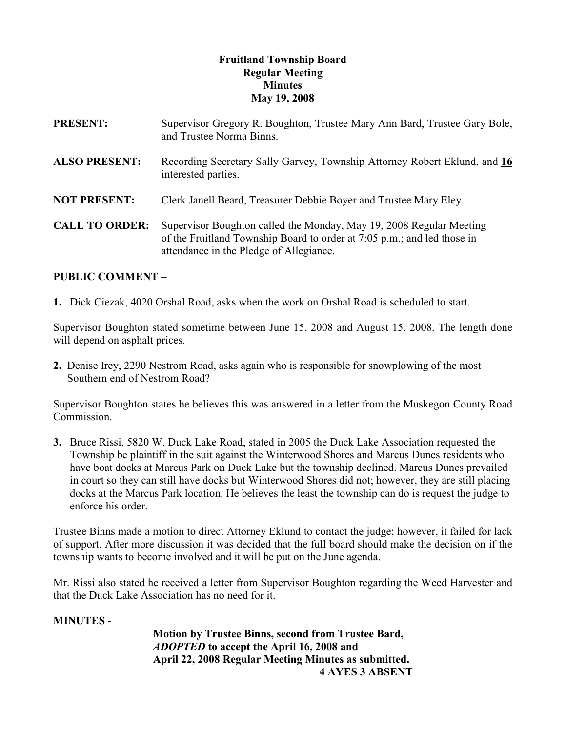# Fruitland Township Board Regular Meeting **Minutes** May 19, 2008

| <b>PRESENT:</b>       | Supervisor Gregory R. Boughton, Trustee Mary Ann Bard, Trustee Gary Bole,<br>and Trustee Norma Binns.                                                                                     |
|-----------------------|-------------------------------------------------------------------------------------------------------------------------------------------------------------------------------------------|
| <b>ALSO PRESENT:</b>  | Recording Secretary Sally Garvey, Township Attorney Robert Eklund, and 16<br>interested parties.                                                                                          |
| <b>NOT PRESENT:</b>   | Clerk Janell Beard, Treasurer Debbie Boyer and Trustee Mary Eley.                                                                                                                         |
| <b>CALL TO ORDER:</b> | Supervisor Boughton called the Monday, May 19, 2008 Regular Meeting<br>of the Fruitland Township Board to order at 7:05 p.m.; and led those in<br>attendance in the Pledge of Allegiance. |

# PUBLIC COMMENT –

1. Dick Ciezak, 4020 Orshal Road, asks when the work on Orshal Road is scheduled to start.

Supervisor Boughton stated sometime between June 15, 2008 and August 15, 2008. The length done will depend on asphalt prices.

2. Denise Irey, 2290 Nestrom Road, asks again who is responsible for snowplowing of the most Southern end of Nestrom Road?

Supervisor Boughton states he believes this was answered in a letter from the Muskegon County Road Commission.

3. Bruce Rissi, 5820 W. Duck Lake Road, stated in 2005 the Duck Lake Association requested the Township be plaintiff in the suit against the Winterwood Shores and Marcus Dunes residents who have boat docks at Marcus Park on Duck Lake but the township declined. Marcus Dunes prevailed in court so they can still have docks but Winterwood Shores did not; however, they are still placing docks at the Marcus Park location. He believes the least the township can do is request the judge to enforce his order.

Trustee Binns made a motion to direct Attorney Eklund to contact the judge; however, it failed for lack of support. After more discussion it was decided that the full board should make the decision on if the township wants to become involved and it will be put on the June agenda.

Mr. Rissi also stated he received a letter from Supervisor Boughton regarding the Weed Harvester and that the Duck Lake Association has no need for it.

### MINUTES -

 Motion by Trustee Binns, second from Trustee Bard, ADOPTED to accept the April 16, 2008 and April 22, 2008 Regular Meeting Minutes as submitted. 4 AYES 3 ABSENT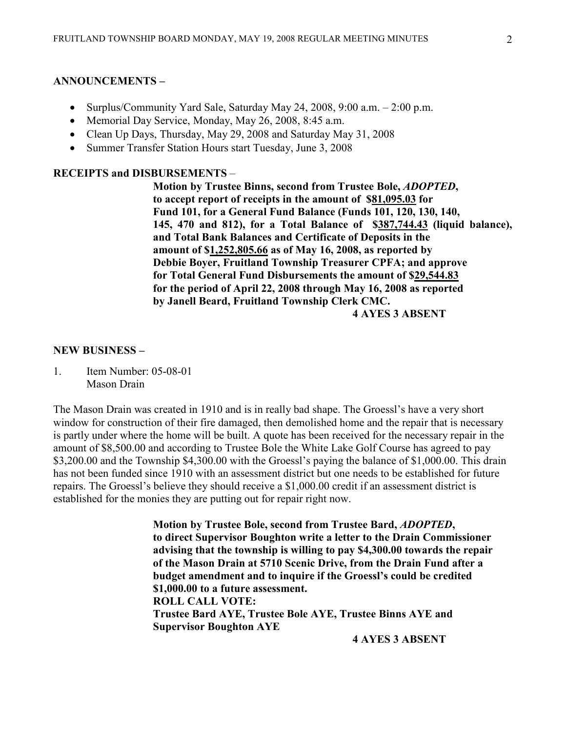#### ANNOUNCEMENTS –

- Surplus/Community Yard Sale, Saturday May 24, 2008, 9:00 a.m. 2:00 p.m.
- Memorial Day Service, Monday, May 26, 2008, 8:45 a.m.
- Clean Up Days, Thursday, May 29, 2008 and Saturday May 31, 2008
- Summer Transfer Station Hours start Tuesday, June 3, 2008

# RECEIPTS and DISBURSEMENTS –

 Motion by Trustee Binns, second from Trustee Bole, ADOPTED, to accept report of receipts in the amount of \$81,095.03 for Fund 101, for a General Fund Balance (Funds 101, 120, 130, 140, 145, 470 and 812), for a Total Balance of \$387,744.43 (liquid balance), and Total Bank Balances and Certificate of Deposits in the amount of \$1,252,805.66 as of May 16, 2008, as reported by Debbie Boyer, Fruitland Township Treasurer CPFA; and approve for Total General Fund Disbursements the amount of \$29,544.83 for the period of April 22, 2008 through May 16, 2008 as reported by Janell Beard, Fruitland Township Clerk CMC. 4 AYES 3 ABSENT

#### NEW BUSINESS –

1. Item Number: 05-08-01 Mason Drain

The Mason Drain was created in 1910 and is in really bad shape. The Groessl's have a very short window for construction of their fire damaged, then demolished home and the repair that is necessary is partly under where the home will be built. A quote has been received for the necessary repair in the amount of \$8,500.00 and according to Trustee Bole the White Lake Golf Course has agreed to pay \$3,200.00 and the Township \$4,300.00 with the Groessl's paying the balance of \$1,000.00. This drain has not been funded since 1910 with an assessment district but one needs to be established for future repairs. The Groessl's believe they should receive a \$1,000.00 credit if an assessment district is established for the monies they are putting out for repair right now.

> Motion by Trustee Bole, second from Trustee Bard, ADOPTED, to direct Supervisor Boughton write a letter to the Drain Commissioner advising that the township is willing to pay \$4,300.00 towards the repair of the Mason Drain at 5710 Scenic Drive, from the Drain Fund after a budget amendment and to inquire if the Groessl's could be credited \$1,000.00 to a future assessment. ROLL CALL VOTE: Trustee Bard AYE, Trustee Bole AYE, Trustee Binns AYE and Supervisor Boughton AYE

> > 4 AYES 3 ABSENT